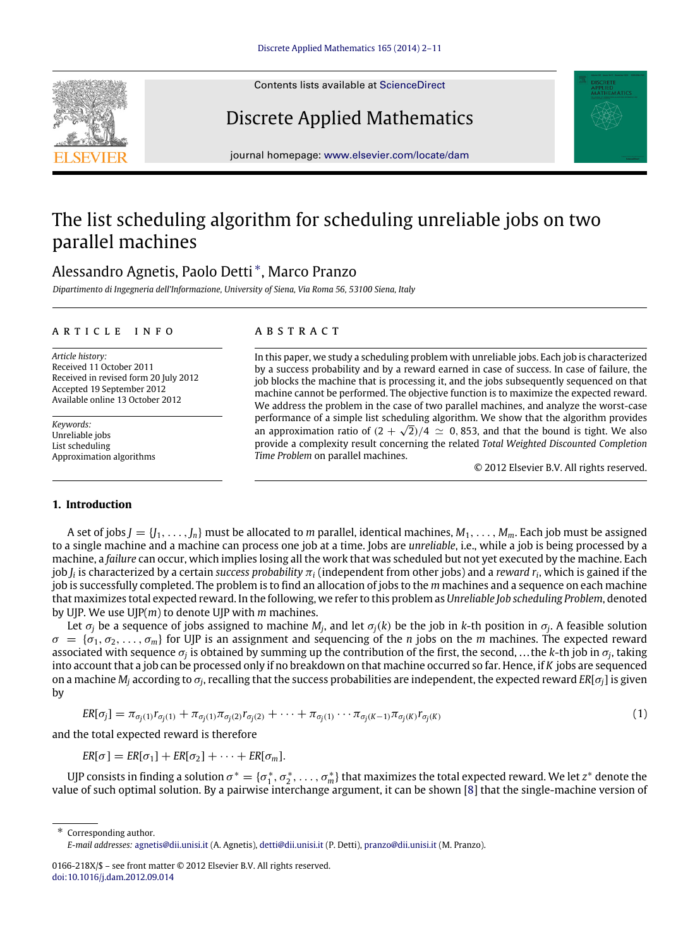Contents lists available at [ScienceDirect](http://www.elsevier.com/locate/dam)

# Discrete Applied Mathematics

journal homepage: [www.elsevier.com/locate/dam](http://www.elsevier.com/locate/dam)

# The list scheduling algorithm for scheduling unreliable jobs on two parallel machines

### Alessandro Agnetis, Paolo Detti [∗](#page-0-0) , Marco Pranzo

*Dipartimento di Ingegneria dell'Informazione, University of Siena, Via Roma 56, 53100 Siena, Italy*

#### a r t i c l e i n f o

*Article history:* Received 11 October 2011 Received in revised form 20 July 2012 Accepted 19 September 2012 Available online 13 October 2012

*Keywords:* Unreliable jobs List scheduling Approximation algorithms

#### **1. Introduction**

### a b s t r a c t

In this paper, we study a scheduling problem with unreliable jobs. Each job is characterized by a success probability and by a reward earned in case of success. In case of failure, the job blocks the machine that is processing it, and the jobs subsequently sequenced on that machine cannot be performed. The objective function is to maximize the expected reward. We address the problem in the case of two parallel machines, and analyze the worst-case performance of a simple list scheduling algorithm. We show that the algorithm provides √ an approximation ratio of  $(2 + \sqrt{2})/4 \simeq 0,853$ , and that the bound is tight. We also provide a complexity result concerning the related *Total Weighted Discounted Completion Time Problem* on parallel machines.

<span id="page-0-1"></span>© 2012 Elsevier B.V. All rights reserved.

A set of jobs  $J = \{J_1, \ldots, J_n\}$  must be allocated to *m* parallel, identical machines,  $M_1, \ldots, M_m$ . Each job must be assigned to a single machine and a machine can process one job at a time. Jobs are *unreliable*, i.e., while a job is being processed by a machine, a *failure* can occur, which implies losing all the work that was scheduled but not yet executed by the machine. Each job *J<sup>i</sup>* is characterized by a certain *success probability* π*<sup>i</sup>* (independent from other jobs) and a *reward r<sup>i</sup>* , which is gained if the job is successfully completed. The problem is to find an allocation of jobs to the *m* machines and a sequence on each machine that maximizes total expected reward. In the following, we refer to this problem as *Unreliable Job scheduling Problem*, denoted by UJP. We use UJP(*m*) to denote UJP with *m* machines.

Let  $\sigma_j$  be a sequence of jobs assigned to machine  $M_j$ , and let  $\sigma_j(k)$  be the job in *k*-th position in  $\sigma_j$ . A feasible solution  $\sigma = {\sigma_1, \sigma_2, \ldots, \sigma_m}$  for UJP is an assignment and sequencing of the *n* jobs on the *m* machines. The expected reward associated with sequence σ*<sup>j</sup>* is obtained by summing up the contribution of the first, the second, . . . the *k*-th job in σ*<sup>j</sup>* , taking into account that a job can be processed only if no breakdown on that machine occurred so far. Hence, if *K* jobs are sequenced on a machine *M<sup>j</sup>* according to σ*<sup>j</sup>* , recalling that the success probabilities are independent, the expected reward *ER*[σ*j*] is given by

$$
ER[\sigma_j] = \pi_{\sigma_j(1)} r_{\sigma_j(1)} + \pi_{\sigma_j(1)} \pi_{\sigma_j(2)} r_{\sigma_j(2)} + \cdots + \pi_{\sigma_j(1)} \cdots \pi_{\sigma_j(K-1)} \pi_{\sigma_j(K)} r_{\sigma_j(K)}
$$
\n(1)

and the total expected reward is therefore

 $ER[\sigma] = ER[\sigma_1] + ER[\sigma_2] + \cdots + ER[\sigma_m].$ 

UJP consists in finding a solution  $\sigma^*=\{\sigma_1^*,\sigma_2^*,\ldots,\sigma_m^*\}$  that maximizes the total expected reward. We let  $z^*$  denote the value of such optimal solution. By a pairwise interchange argument, it can be shown [\[8\]](#page--1-0) that the single-machine version of

<span id="page-0-0"></span>Corresponding author. *E-mail addresses:* [agnetis@dii.unisi.it](mailto:agnetis@dii.unisi.it) (A. Agnetis), [detti@dii.unisi.it](mailto:detti@dii.unisi.it) (P. Detti), [pranzo@dii.unisi.it](mailto:pranzo@dii.unisi.it) (M. Pranzo).





<sup>0166-218</sup>X/\$ – see front matter © 2012 Elsevier B.V. All rights reserved. [doi:10.1016/j.dam.2012.09.014](http://dx.doi.org/10.1016/j.dam.2012.09.014)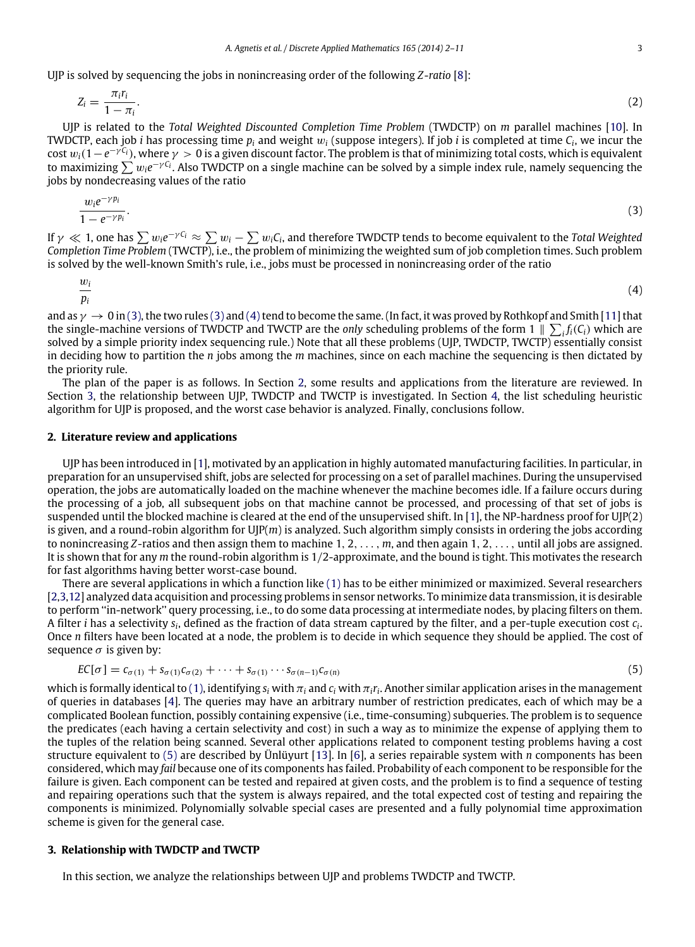UJP is solved by sequencing the jobs in nonincreasing order of the following *Z*-*ratio* [\[8\]](#page--1-0):

$$
Z_i = \frac{\pi_i r_i}{1 - \pi_i}.\tag{2}
$$

UJP is related to the *Total Weighted Discounted Completion Time Problem* (TWDCTP) on *m* parallel machines [\[10\]](#page--1-1). In TWDCTP, each job *i* has processing time *p<sup>i</sup>* and weight w*<sup>i</sup>* (suppose integers). If job *i* is completed at time *C<sup>i</sup>* , we incur the cost  $w_i(1-e^{-\gamma C_i})$ , where  $\gamma > 0$  is a given discount factor. The problem is that of minimizing total costs, which is equivalent to maximizing ∑  $w_i e^{-\gamma C_i}$ . Also TWDCTP on a single machine can be solved by a simple index rule, namely sequencing the jobs by nondecreasing values of the ratio

<span id="page-1-0"></span>
$$
\frac{w_i e^{-\gamma p_i}}{1 - e^{-\gamma p_i}}.\tag{3}
$$

If  $\gamma\ll 1$ , one has  $\sum w_i e^{-\gamma C_i}\approx \sum w_i-\sum w_iC_i$ , and therefore TWDCTP tends to become equivalent to the *Total Weighted Completion Time Problem* (TWCTP), i.e., the problem of minimizing the weighted sum of job completion times. Such problem is solved by the well-known Smith's rule, i.e., jobs must be processed in nonincreasing order of the ratio

<span id="page-1-1"></span>
$$
\frac{w_i}{p_i} \tag{4}
$$

and as  $\gamma \to 0$  in [\(3\),](#page-1-0) the two rules [\(3\)](#page-1-0) and [\(4\)](#page-1-1) tend to become the same. (In fact, it was proved by Rothkopf and Smith [\[11\]](#page--1-2) that the single-machine versions of TWDCTP and TWCTP are the *only* scheduling problems of the form  $1 \parallel \sum_i f_i(C_i)$  which are solved by a simple priority index sequencing rule.) Note that all these problems (UJP, TWDCTP, TWCTP) essentially consist in deciding how to partition the *n* jobs among the *m* machines, since on each machine the sequencing is then dictated by the priority rule.

The plan of the paper is as follows. In Section [2,](#page-1-2) some results and applications from the literature are reviewed. In Section [3,](#page-1-3) the relationship between UJP, TWDCTP and TWCTP is investigated. In Section [4,](#page--1-3) the list scheduling heuristic algorithm for UJP is proposed, and the worst case behavior is analyzed. Finally, conclusions follow.

#### <span id="page-1-2"></span>**2. Literature review and applications**

UJP has been introduced in [\[1\]](#page--1-4), motivated by an application in highly automated manufacturing facilities. In particular, in preparation for an unsupervised shift, jobs are selected for processing on a set of parallel machines. During the unsupervised operation, the jobs are automatically loaded on the machine whenever the machine becomes idle. If a failure occurs during the processing of a job, all subsequent jobs on that machine cannot be processed, and processing of that set of jobs is suspended until the blocked machine is cleared at the end of the unsupervised shift. In [\[1\]](#page--1-4), the NP-hardness proof for UJP(2) is given, and a round-robin algorithm for UJP(*m*) is analyzed. Such algorithm simply consists in ordering the jobs according to nonincreasing *Z*-ratios and then assign them to machine 1, 2, . . . , *m*, and then again 1, 2, . . . , until all jobs are assigned. It is shown that for any *m* the round-robin algorithm is 1/2-approximate, and the bound is tight. This motivates the research for fast algorithms having better worst-case bound.

There are several applications in which a function like [\(1\)](#page-0-1) has to be either minimized or maximized. Several researchers [\[2,](#page--1-5)[3,](#page--1-6)[12\]](#page--1-7) analyzed data acquisition and processing problems in sensor networks. To minimize data transmission, it is desirable to perform ''in-network'' query processing, i.e., to do some data processing at intermediate nodes, by placing filters on them. A filter *i* has a selectivity  $s_i$ , defined as the fraction of data stream captured by the filter, and a per-tuple execution cost  $c_i$ . Once *n* filters have been located at a node, the problem is to decide in which sequence they should be applied. The cost of sequence  $\sigma$  is given by:

<span id="page-1-4"></span>
$$
EC[\sigma] = c_{\sigma(1)} + s_{\sigma(1)}c_{\sigma(2)} + \cdots + s_{\sigma(1)} \cdots s_{\sigma(n-1)}c_{\sigma(n)}
$$
\n
$$
(5)
$$

which is formally identical to [\(1\),](#page-0-1) identifying  $s_i$  with  $\pi_i$  and  $c_i$  with  $\pi_i$ *r*<sub>i</sub>. Another similar application arises in the management of queries in databases [\[4\]](#page--1-8). The queries may have an arbitrary number of restriction predicates, each of which may be a complicated Boolean function, possibly containing expensive (i.e., time-consuming) subqueries. The problem is to sequence the predicates (each having a certain selectivity and cost) in such a way as to minimize the expense of applying them to the tuples of the relation being scanned. Several other applications related to component testing problems having a cost structure equivalent to [\(5\)](#page-1-4) are described by Ünlüyurt [\[13\]](#page--1-9). In [\[6\]](#page--1-10), a series repairable system with *n* components has been considered, which may *fail* because one of its components has failed. Probability of each component to be responsible for the failure is given. Each component can be tested and repaired at given costs, and the problem is to find a sequence of testing and repairing operations such that the system is always repaired, and the total expected cost of testing and repairing the components is minimized. Polynomially solvable special cases are presented and a fully polynomial time approximation scheme is given for the general case.

#### <span id="page-1-3"></span>**3. Relationship with TWDCTP and TWCTP**

In this section, we analyze the relationships between UJP and problems TWDCTP and TWCTP.